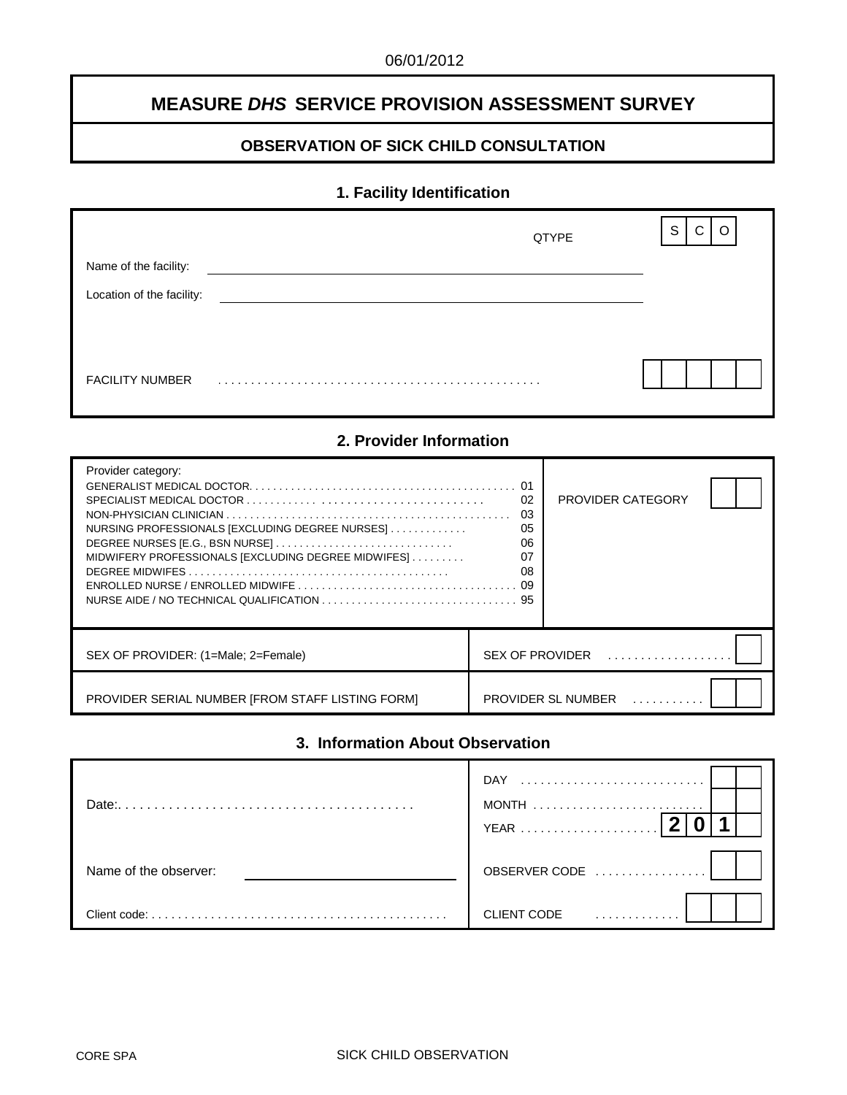# **MEASURE** *DHS* **SERVICE PROVISION ASSESSMENT SURVEY**

## **OBSERVATION OF SICK CHILD CONSULTATION**

# **1. Facility Identification**

|                           | QTYPE | S<br>C<br>$\Omega$ |
|---------------------------|-------|--------------------|
| Name of the facility:     |       |                    |
| Location of the facility: |       |                    |
|                           |       |                    |
|                           |       |                    |
| <b>FACILITY NUMBER</b>    |       |                    |

### **2. Provider Information**

| Provider category:<br>NURSING PROFESSIONALS [EXCLUDING DEGREE NURSES]<br>MIDWIFERY PROFESSIONALS [EXCLUDING DEGREE MIDWIFES] | 01<br>02<br>03<br>05<br>06<br>07<br>08 | PROVIDER CATEGORY                                  |  |
|------------------------------------------------------------------------------------------------------------------------------|----------------------------------------|----------------------------------------------------|--|
| SEX OF PROVIDER: (1=Male: 2=Female)                                                                                          |                                        | $SEX$ OF PROVIDER $\ldots, \ldots, \ldots, \ldots$ |  |
| PROVIDER SERIAL NUMBER JFROM STAFF LISTING FORM]                                                                             |                                        | PROVIDER SL NUMBER                                 |  |

# **3. Information About Observation**

| Date:                 | <b>DAY</b><br>YEAR |
|-----------------------|--------------------|
| Name of the observer: | OBSERVER CODE      |
| Client code:          | <b>CLIENT CODE</b> |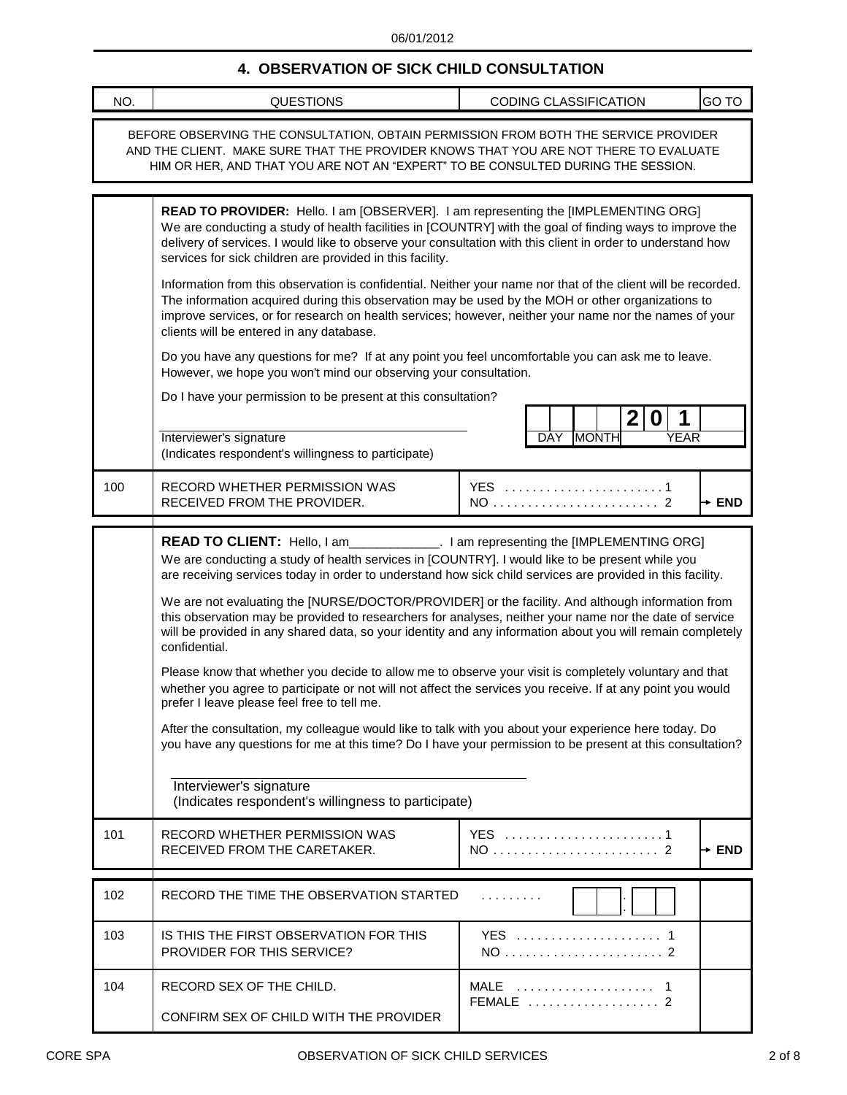## **4. OBSERVATION OF SICK CHILD CONSULTATION**

| NO. | <b>QUESTIONS</b>                                                                                                                                                                                                                                                                                                                                                                                                                                                                                                                                                                                                                                                                                                                                                                                                                                                                                                                                                                                                                                                                                                                                                                                                                                                    | CODING CLASSIFICATION                         | GO TO             |  |
|-----|---------------------------------------------------------------------------------------------------------------------------------------------------------------------------------------------------------------------------------------------------------------------------------------------------------------------------------------------------------------------------------------------------------------------------------------------------------------------------------------------------------------------------------------------------------------------------------------------------------------------------------------------------------------------------------------------------------------------------------------------------------------------------------------------------------------------------------------------------------------------------------------------------------------------------------------------------------------------------------------------------------------------------------------------------------------------------------------------------------------------------------------------------------------------------------------------------------------------------------------------------------------------|-----------------------------------------------|-------------------|--|
|     | BEFORE OBSERVING THE CONSULTATION, OBTAIN PERMISSION FROM BOTH THE SERVICE PROVIDER<br>AND THE CLIENT. MAKE SURE THAT THE PROVIDER KNOWS THAT YOU ARE NOT THERE TO EVALUATE<br>HIM OR HER, AND THAT YOU ARE NOT AN "EXPERT" TO BE CONSULTED DURING THE SESSION.                                                                                                                                                                                                                                                                                                                                                                                                                                                                                                                                                                                                                                                                                                                                                                                                                                                                                                                                                                                                     |                                               |                   |  |
|     | READ TO PROVIDER: Hello. I am [OBSERVER]. I am representing the [IMPLEMENTING ORG]<br>We are conducting a study of health facilities in [COUNTRY] with the goal of finding ways to improve the<br>delivery of services. I would like to observe your consultation with this client in order to understand how<br>services for sick children are provided in this facility.<br>Information from this observation is confidential. Neither your name nor that of the client will be recorded.<br>The information acquired during this observation may be used by the MOH or other organizations to<br>improve services, or for research on health services; however, neither your name nor the names of your<br>clients will be entered in any database.<br>Do you have any questions for me? If at any point you feel uncomfortable you can ask me to leave.<br>However, we hope you won't mind our observing your consultation.<br>Do I have your permission to be present at this consultation?<br>Interviewer's signature<br>(Indicates respondent's willingness to participate)                                                                                                                                                                                  | 2 <br>$\bf{0}$<br><b>MONTH</b><br>YEAR<br>DAY |                   |  |
| 100 | RECORD WHETHER PERMISSION WAS<br>RECEIVED FROM THE PROVIDER.                                                                                                                                                                                                                                                                                                                                                                                                                                                                                                                                                                                                                                                                                                                                                                                                                                                                                                                                                                                                                                                                                                                                                                                                        | YES 1                                         | $\rightarrow$ END |  |
| 101 | READ TO CLIENT: Hello, I am______________. I am representing the [IMPLEMENTING ORG]<br>We are conducting a study of health services in [COUNTRY]. I would like to be present while you<br>are receiving services today in order to understand how sick child services are provided in this facility.<br>We are not evaluating the [NURSE/DOCTOR/PROVIDER] or the facility. And although information from<br>this observation may be provided to researchers for analyses, neither your name nor the date of service<br>will be provided in any shared data, so your identity and any information about you will remain completely<br>confidential.<br>Please know that whether you decide to allow me to observe your visit is completely voluntary and that<br>whether you agree to participate or not will not affect the services you receive. If at any point you would<br>prefer I leave please feel free to tell me.<br>After the consultation, my colleague would like to talk with you about your experience here today. Do<br>you have any questions for me at this time? Do I have your permission to be present at this consultation?<br>Interviewer's signature<br>(Indicates respondent's willingness to participate)<br>RECORD WHETHER PERMISSION WAS | YES 1                                         |                   |  |
|     | RECEIVED FROM THE CARETAKER.                                                                                                                                                                                                                                                                                                                                                                                                                                                                                                                                                                                                                                                                                                                                                                                                                                                                                                                                                                                                                                                                                                                                                                                                                                        |                                               | $\rightarrow$ END |  |
| 102 | RECORD THE TIME THE OBSERVATION STARTED                                                                                                                                                                                                                                                                                                                                                                                                                                                                                                                                                                                                                                                                                                                                                                                                                                                                                                                                                                                                                                                                                                                                                                                                                             | .                                             |                   |  |
| 103 | IS THIS THE FIRST OBSERVATION FOR THIS<br><b>PROVIDER FOR THIS SERVICE?</b>                                                                                                                                                                                                                                                                                                                                                                                                                                                                                                                                                                                                                                                                                                                                                                                                                                                                                                                                                                                                                                                                                                                                                                                         | YES  1                                        |                   |  |
| 104 | RECORD SEX OF THE CHILD.<br>CONFIRM SEX OF CHILD WITH THE PROVIDER                                                                                                                                                                                                                                                                                                                                                                                                                                                                                                                                                                                                                                                                                                                                                                                                                                                                                                                                                                                                                                                                                                                                                                                                  | MALE  1<br>FEMALE  2                          |                   |  |

ı

J.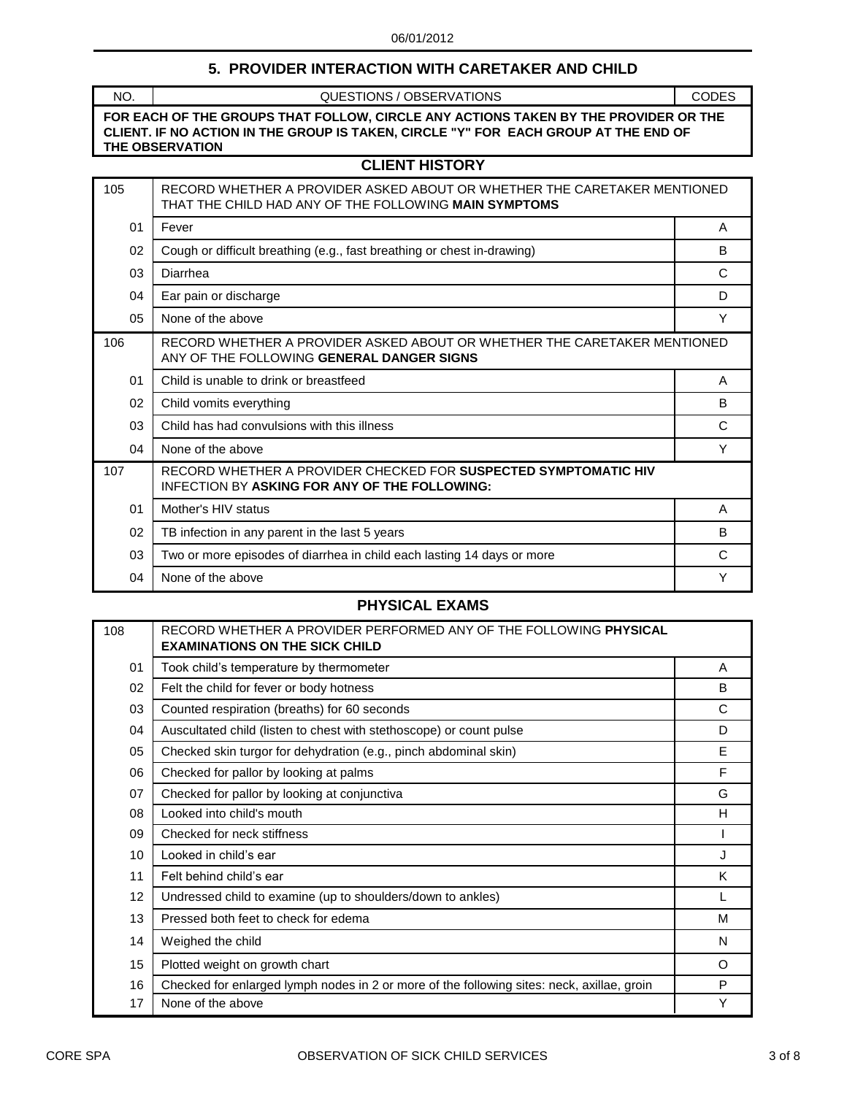### **5. PROVIDER INTERACTION WITH CARETAKER AND CHILD**

NO. QUESTIONS / OBSERVATIONS **THE OBSERVATION CLIENT. IF NO ACTION IN THE GROUP IS TAKEN, CIRCLE "Y" FOR EACH GROUP AT THE END OF FOR EACH OF THE GROUPS THAT FOLLOW, CIRCLE ANY ACTIONS TAKEN BY THE PROVIDER OR THE** CODES

### **CLIENT HISTORY**

| 105 | RECORD WHETHER A PROVIDER ASKED ABOUT OR WHETHER THE CARETAKER MENTIONED<br>THAT THE CHILD HAD ANY OF THE FOLLOWING MAIN SYMPTOMS |   |
|-----|-----------------------------------------------------------------------------------------------------------------------------------|---|
| 01  | Fever                                                                                                                             | A |
| 02  | Cough or difficult breathing (e.g., fast breathing or chest in-drawing)                                                           | B |
| 03  | Diarrhea                                                                                                                          | C |
| 04  | Ear pain or discharge                                                                                                             | D |
| 05  | None of the above                                                                                                                 | Y |
| 106 | RECORD WHETHER A PROVIDER ASKED ABOUT OR WHETHER THE CARETAKER MENTIONED<br>ANY OF THE FOLLOWING GENERAL DANGER SIGNS             |   |
| 01  | Child is unable to drink or breastfeed                                                                                            | A |
| 02  | Child vomits everything                                                                                                           | B |
| 03  | Child has had convulsions with this illness                                                                                       | C |
| 04  | None of the above                                                                                                                 | Υ |
| 107 | RECORD WHETHER A PROVIDER CHECKED FOR SUSPECTED SYMPTOMATIC HIV<br>INFECTION BY ASKING FOR ANY OF THE FOLLOWING:                  |   |
| 01  | Mother's HIV status                                                                                                               | A |
| 02  | TB infection in any parent in the last 5 years                                                                                    | B |
| 03  | Two or more episodes of diarrhea in child each lasting 14 days or more                                                            | C |
| 04  | None of the above                                                                                                                 | Y |

## **PHYSICAL EXAMS**

| 108 | RECORD WHETHER A PROVIDER PERFORMED ANY OF THE FOLLOWING PHYSICAL<br><b>EXAMINATIONS ON THE SICK CHILD</b> |          |
|-----|------------------------------------------------------------------------------------------------------------|----------|
| 01  | Took child's temperature by thermometer                                                                    | A        |
| 02  | Felt the child for fever or body hotness                                                                   | B        |
| 03  | Counted respiration (breaths) for 60 seconds                                                               | C        |
| 04  | Auscultated child (listen to chest with stethoscope) or count pulse                                        | D        |
| 05  | Checked skin turgor for dehydration (e.g., pinch abdominal skin)                                           | E        |
| 06  | Checked for pallor by looking at palms                                                                     | F        |
| 07  | Checked for pallor by looking at conjunctiva                                                               | G        |
| 08  | Looked into child's mouth                                                                                  | H        |
| 09  | Checked for neck stiffness                                                                                 |          |
| 10  | Looked in child's ear                                                                                      | J        |
| 11  | Felt behind child's ear                                                                                    | K        |
| 12  | Undressed child to examine (up to shoulders/down to ankles)                                                | L        |
| 13  | Pressed both feet to check for edema                                                                       | M        |
| 14  | Weighed the child                                                                                          | N        |
| 15  | Plotted weight on growth chart                                                                             | $\Omega$ |
| 16  | Checked for enlarged lymph nodes in 2 or more of the following sites: neck, axillae, groin                 | P        |
| 17  | None of the above                                                                                          | Y        |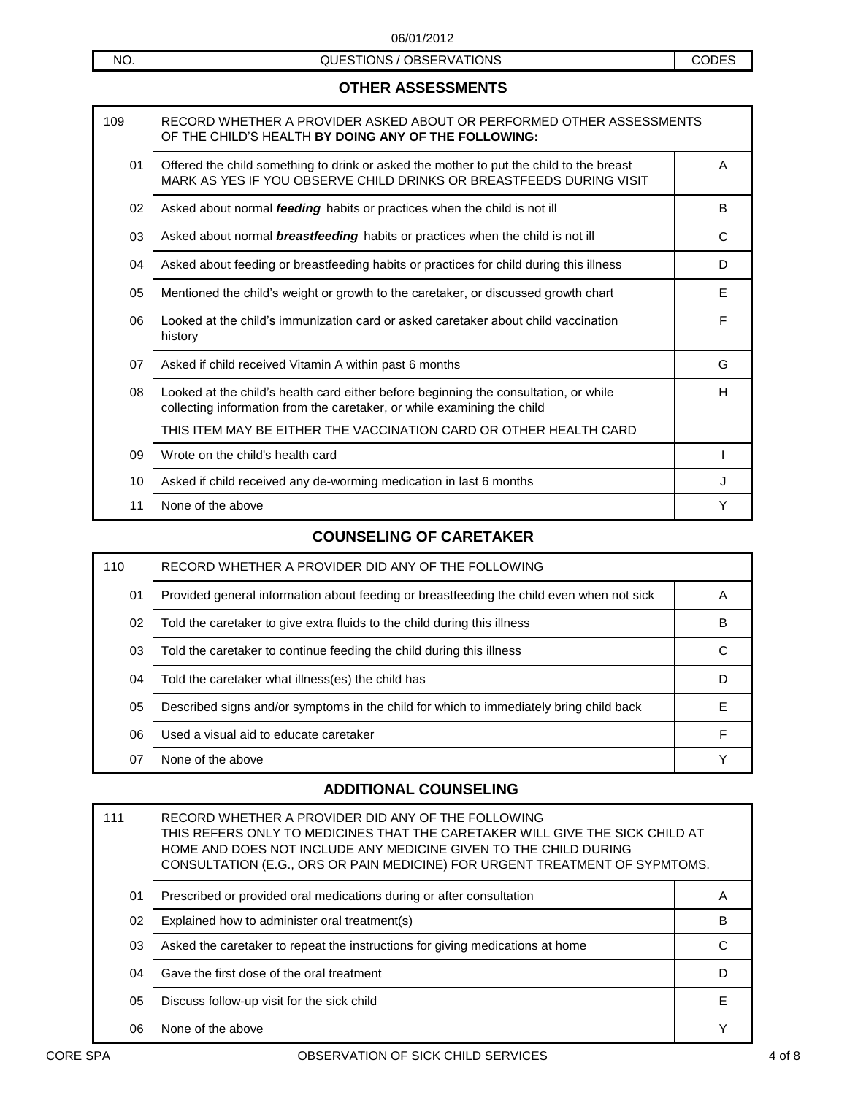| <b>OTHER ASSESSMENTS</b> |
|--------------------------|
|--------------------------|

| 109 | RECORD WHETHER A PROVIDER ASKED ABOUT OR PERFORMED OTHER ASSESSMENTS<br>OF THE CHILD'S HEALTH BY DOING ANY OF THE FOLLOWING:                                    |    |
|-----|-----------------------------------------------------------------------------------------------------------------------------------------------------------------|----|
| 01  | Offered the child something to drink or asked the mother to put the child to the breast<br>MARK AS YES IF YOU OBSERVE CHILD DRINKS OR BREASTFEEDS DURING VISIT  | A  |
| 02  | Asked about normal feeding habits or practices when the child is not ill                                                                                        | B  |
| 03  | Asked about normal <b>breastfeeding</b> habits or practices when the child is not ill                                                                           | C  |
| 04  | Asked about feeding or breastfeeding habits or practices for child during this illness                                                                          | D  |
| 05  | Mentioned the child's weight or growth to the caretaker, or discussed growth chart                                                                              | E. |
| 06  | Looked at the child's immunization card or asked caretaker about child vaccination<br>history                                                                   | F  |
| 07  | Asked if child received Vitamin A within past 6 months                                                                                                          | G  |
| 08  | Looked at the child's health card either before beginning the consultation, or while<br>collecting information from the caretaker, or while examining the child | H  |
|     | THIS ITEM MAY BE EITHER THE VACCINATION CARD OR OTHER HEALTH CARD                                                                                               |    |
| 09  | Wrote on the child's health card                                                                                                                                |    |
| 10  | Asked if child received any de-worming medication in last 6 months                                                                                              | J  |
| 11  | None of the above                                                                                                                                               | Υ  |

### **COUNSELING OF CARETAKER**

| 110 | RECORD WHETHER A PROVIDER DID ANY OF THE FOLLOWING                                       |   |
|-----|------------------------------------------------------------------------------------------|---|
| 01  | Provided general information about feeding or breastfeeding the child even when not sick | А |
| 02  | Told the caretaker to give extra fluids to the child during this illness                 | в |
| 03  | Told the caretaker to continue feeding the child during this illness                     |   |
| 04  | Told the caretaker what illness(es) the child has                                        |   |
| 05  | Described signs and/or symptoms in the child for which to immediately bring child back   |   |
| 06  | Used a visual aid to educate caretaker                                                   | F |
| 07  | None of the above                                                                        |   |

### **ADDITIONAL COUNSELING**

| 111 | RECORD WHETHER A PROVIDER DID ANY OF THE FOLLOWING<br>THIS REFERS ONLY TO MEDICINES THAT THE CARETAKER WILL GIVE THE SICK CHILD AT<br>HOME AND DOES NOT INCLUDE ANY MEDICINE GIVEN TO THE CHILD DURING<br>CONSULTATION (E.G., ORS OR PAIN MEDICINE) FOR URGENT TREATMENT OF SYPMTOMS. |   |
|-----|---------------------------------------------------------------------------------------------------------------------------------------------------------------------------------------------------------------------------------------------------------------------------------------|---|
| 01  | Prescribed or provided oral medications during or after consultation                                                                                                                                                                                                                  | A |
| 02  | Explained how to administer oral treatment(s)                                                                                                                                                                                                                                         | В |
| 03  | Asked the caretaker to repeat the instructions for giving medications at home                                                                                                                                                                                                         |   |
| 04  | Gave the first dose of the oral treatment                                                                                                                                                                                                                                             |   |
| 05  | Discuss follow-up visit for the sick child                                                                                                                                                                                                                                            | F |
| 06  | None of the above                                                                                                                                                                                                                                                                     |   |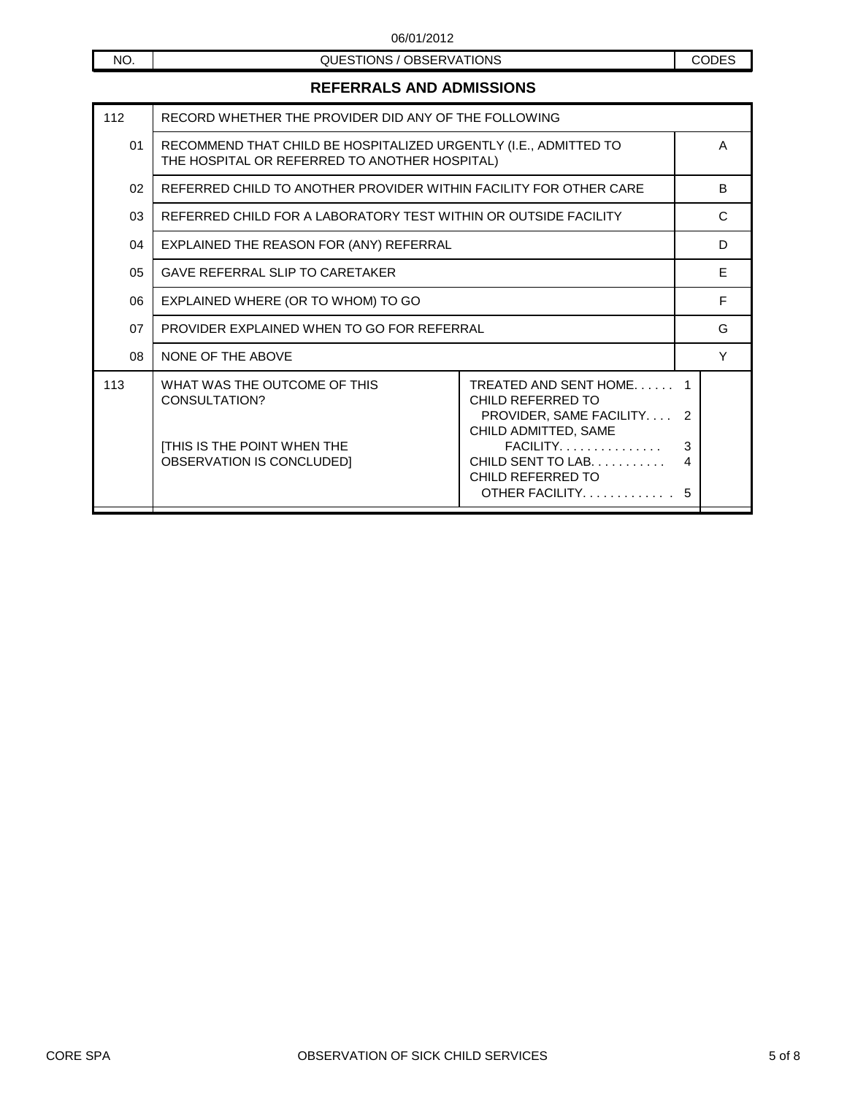NO. NO. 200ESTIONS / OBSERVATIONS

## **REFERRALS AND ADMISSIONS**

| 112 | RECORD WHETHER THE PROVIDER DID ANY OF THE FOLLOWING                                                              |                                                                                                                                                                                                       |                   |   |
|-----|-------------------------------------------------------------------------------------------------------------------|-------------------------------------------------------------------------------------------------------------------------------------------------------------------------------------------------------|-------------------|---|
| 01  | RECOMMEND THAT CHILD BE HOSPITALIZED URGENTLY (I.E., ADMITTED TO<br>THE HOSPITAL OR REFERRED TO ANOTHER HOSPITAL) |                                                                                                                                                                                                       |                   | A |
| 02  | REFERRED CHILD TO ANOTHER PROVIDER WITHIN FACILITY FOR OTHER CARE                                                 |                                                                                                                                                                                                       |                   | B |
| 03  | REFERRED CHILD FOR A LABORATORY TEST WITHIN OR OUTSIDE FACILITY                                                   |                                                                                                                                                                                                       |                   | C |
| 04  | EXPLAINED THE REASON FOR (ANY) REFERRAL                                                                           |                                                                                                                                                                                                       |                   | D |
| 05  | <b>GAVE REFERRAL SLIP TO CARETAKER</b>                                                                            |                                                                                                                                                                                                       | E                 |   |
| 06  | EXPLAINED WHERE (OR TO WHOM) TO GO                                                                                |                                                                                                                                                                                                       | F                 |   |
| 07  | PROVIDER EXPLAINED WHEN TO GO FOR REFERRAL                                                                        |                                                                                                                                                                                                       |                   | G |
| 08  | NONE OF THE ABOVE                                                                                                 |                                                                                                                                                                                                       |                   | Y |
| 113 | WHAT WAS THE OUTCOME OF THIS<br>CONSULTATION?<br><b>[THIS IS THE POINT WHEN THE</b><br>OBSERVATION IS CONCLUDED]  | TREATED AND SENT HOME<br>CHILD REFERRED TO<br>PROVIDER, SAME FACILITY<br>CHILD ADMITTED, SAME<br>$FACILITY. \ldots \ldots \ldots \ldots$<br>CHILD SENT TO LAB.<br>CHILD REFERRED TO<br>OTHER FACILITY | -2<br>3<br>4<br>5 |   |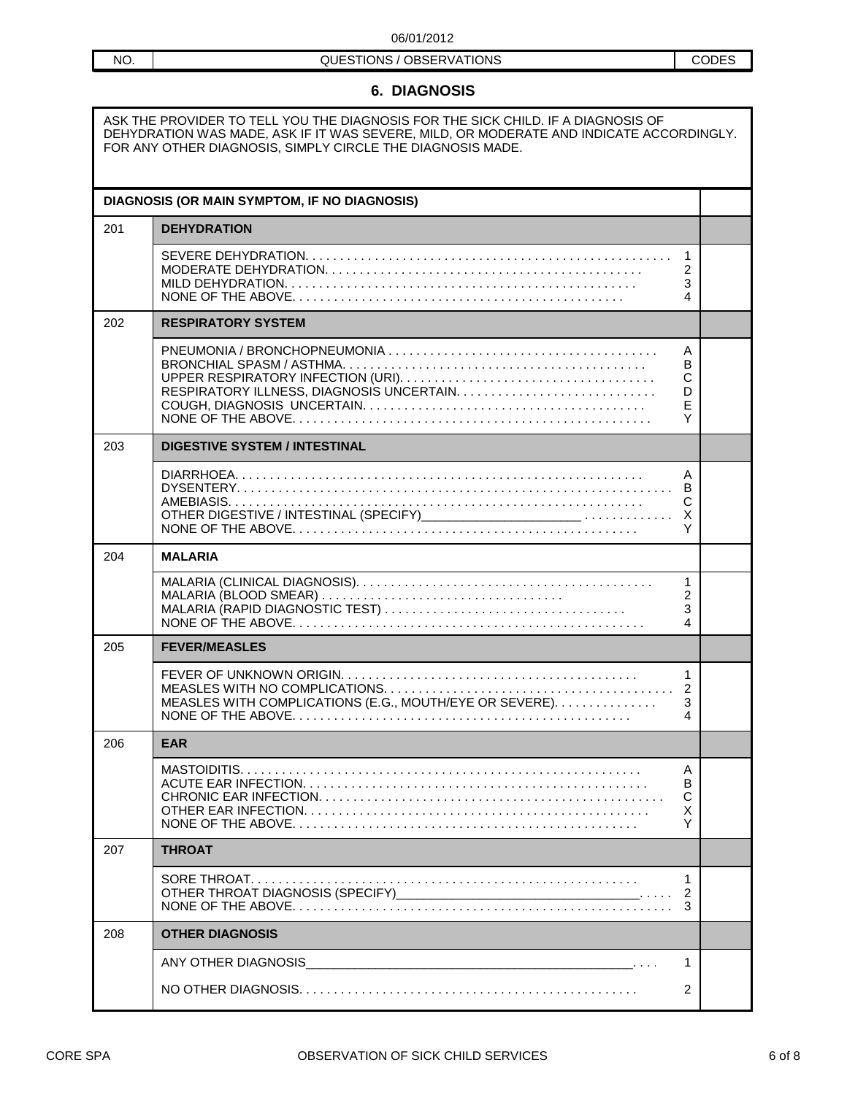# NO. NO. NO. 200ESTIONS / OBSERVATIONS

### **6. DIAGNOSIS**

ASK THE PROVIDER TO TELL YOU THE DIAGNOSIS FOR THE SICK CHILD. IF A DIAGNOSIS OF DEHYDRATION WAS MADE, ASK IF IT WAS SEVERE, MILD, OR MODERATE AND INDICATE ACCORDINGLY. FOR ANY OTHER DIAGNOSIS, SIMPLY CIRCLE THE DIAGNOSIS MADE.

|     | DIAGNOSIS (OR MAIN SYMPTOM, IF NO DIAGNOSIS)            |                               |  |
|-----|---------------------------------------------------------|-------------------------------|--|
| 201 | <b>DEHYDRATION</b>                                      |                               |  |
|     |                                                         | $\mathbf{1}$<br>2<br>3<br>4   |  |
| 202 | <b>RESPIRATORY SYSTEM</b>                               |                               |  |
|     |                                                         | A<br>в<br>С<br>D<br>E<br>Y    |  |
| 203 | <b>DIGESTIVE SYSTEM / INTESTINAL</b>                    |                               |  |
|     |                                                         | A<br>в<br>С<br>X<br>Υ         |  |
| 204 | <b>MALARIA</b>                                          |                               |  |
|     |                                                         | $\mathbf{1}$<br>2<br>3<br>4   |  |
| 205 | <b>FEVER/MEASLES</b>                                    |                               |  |
|     | MEASLES WITH COMPLICATIONS (E.G., MOUTH/EYE OR SEVERE). | 1<br>$\overline{2}$<br>3<br>4 |  |
| 206 | <b>EAR</b>                                              |                               |  |
|     |                                                         | Α<br>В<br>C<br>X<br>Y         |  |
| 207 | <b>THROAT</b>                                           |                               |  |
|     |                                                         | 1<br>2<br>3                   |  |
| 208 | <b>OTHER DIAGNOSIS</b>                                  |                               |  |
|     |                                                         | 1                             |  |
|     |                                                         | 2                             |  |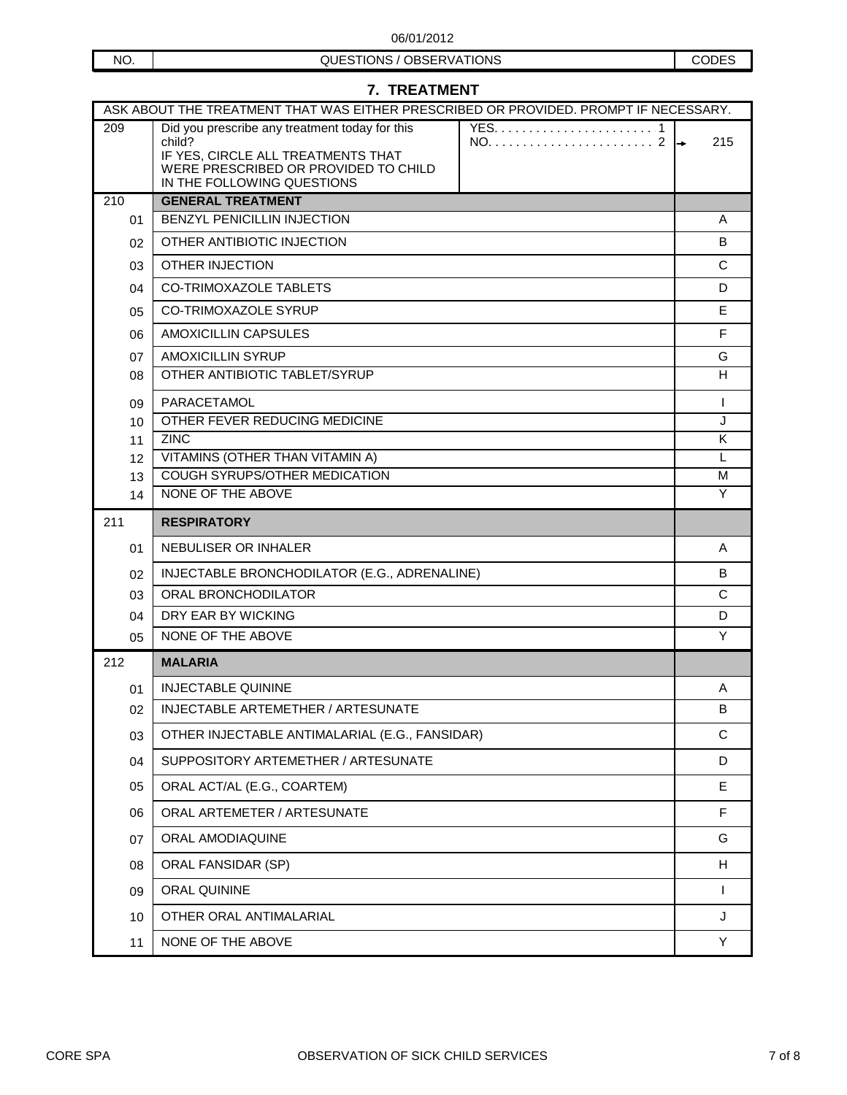NO. NO. NO. 200ESTIONS / OBSERVATIONS

| <b>7. TREATMENT</b>                                                                  |                                                                                                                                                                      |              |  |  |  |
|--------------------------------------------------------------------------------------|----------------------------------------------------------------------------------------------------------------------------------------------------------------------|--------------|--|--|--|
| ASK ABOUT THE TREATMENT THAT WAS EITHER PRESCRIBED OR PROVIDED. PROMPT IF NECESSARY. |                                                                                                                                                                      |              |  |  |  |
| 209                                                                                  | Did you prescribe any treatment today for this<br>child?<br>IF YES, CIRCLE ALL TREATMENTS THAT<br>WERE PRESCRIBED OR PROVIDED TO CHILD<br>IN THE FOLLOWING QUESTIONS | 215          |  |  |  |
| 210                                                                                  | <b>GENERAL TREATMENT</b>                                                                                                                                             |              |  |  |  |
| 01                                                                                   | <b>BENZYL PENICILLIN INJECTION</b>                                                                                                                                   |              |  |  |  |
| 02                                                                                   | OTHER ANTIBIOTIC INJECTION                                                                                                                                           |              |  |  |  |
| 03                                                                                   | <b>OTHER INJECTION</b>                                                                                                                                               |              |  |  |  |
| 04                                                                                   | <b>CO-TRIMOXAZOLE TABLETS</b>                                                                                                                                        |              |  |  |  |
| 05                                                                                   | <b>CO-TRIMOXAZOLE SYRUP</b>                                                                                                                                          |              |  |  |  |
| 06                                                                                   | AMOXICILLIN CAPSULES                                                                                                                                                 |              |  |  |  |
| 07                                                                                   | <b>AMOXICILLIN SYRUP</b>                                                                                                                                             |              |  |  |  |
| 08                                                                                   | OTHER ANTIBIOTIC TABLET/SYRUP                                                                                                                                        |              |  |  |  |
| 09                                                                                   | PARACETAMOL                                                                                                                                                          |              |  |  |  |
| 10                                                                                   | OTHER FEVER REDUCING MEDICINE                                                                                                                                        |              |  |  |  |
| 11                                                                                   | <b>ZINC</b>                                                                                                                                                          |              |  |  |  |
| 12<br>13                                                                             | VITAMINS (OTHER THAN VITAMIN A)<br>COUGH SYRUPS/OTHER MEDICATION                                                                                                     |              |  |  |  |
| 14                                                                                   | NONE OF THE ABOVE                                                                                                                                                    | M<br>Y       |  |  |  |
| 211                                                                                  | <b>RESPIRATORY</b>                                                                                                                                                   |              |  |  |  |
| 01                                                                                   | NEBULISER OR INHALER                                                                                                                                                 | A            |  |  |  |
| 02                                                                                   | INJECTABLE BRONCHODILATOR (E.G., ADRENALINE)                                                                                                                         |              |  |  |  |
| 03                                                                                   | ORAL BRONCHODILATOR                                                                                                                                                  |              |  |  |  |
| 04                                                                                   | DRY EAR BY WICKING                                                                                                                                                   | D            |  |  |  |
| 05                                                                                   | NONE OF THE ABOVE                                                                                                                                                    |              |  |  |  |
| 212                                                                                  | <b>MALARIA</b>                                                                                                                                                       |              |  |  |  |
| 01                                                                                   | <b>INJECTABLE QUININE</b>                                                                                                                                            | Α            |  |  |  |
| 02                                                                                   | INJECTABLE ARTEMETHER / ARTESUNATE                                                                                                                                   | B            |  |  |  |
| 03                                                                                   | OTHER INJECTABLE ANTIMALARIAL (E.G., FANSIDAR)                                                                                                                       | C            |  |  |  |
| 04                                                                                   | SUPPOSITORY ARTEMETHER / ARTESUNATE                                                                                                                                  |              |  |  |  |
| 05                                                                                   | ORAL ACT/AL (E.G., COARTEM)                                                                                                                                          | E.           |  |  |  |
| 06                                                                                   | ORAL ARTEMETER / ARTESUNATE                                                                                                                                          |              |  |  |  |
| 07                                                                                   | ORAL AMODIAQUINE                                                                                                                                                     | G            |  |  |  |
| 08                                                                                   | ORAL FANSIDAR (SP)                                                                                                                                                   | H            |  |  |  |
| 09                                                                                   | ORAL QUININE                                                                                                                                                         | $\mathsf{I}$ |  |  |  |
| 10                                                                                   | OTHER ORAL ANTIMALARIAL                                                                                                                                              | J            |  |  |  |
| 11                                                                                   | NONE OF THE ABOVE                                                                                                                                                    | Y            |  |  |  |